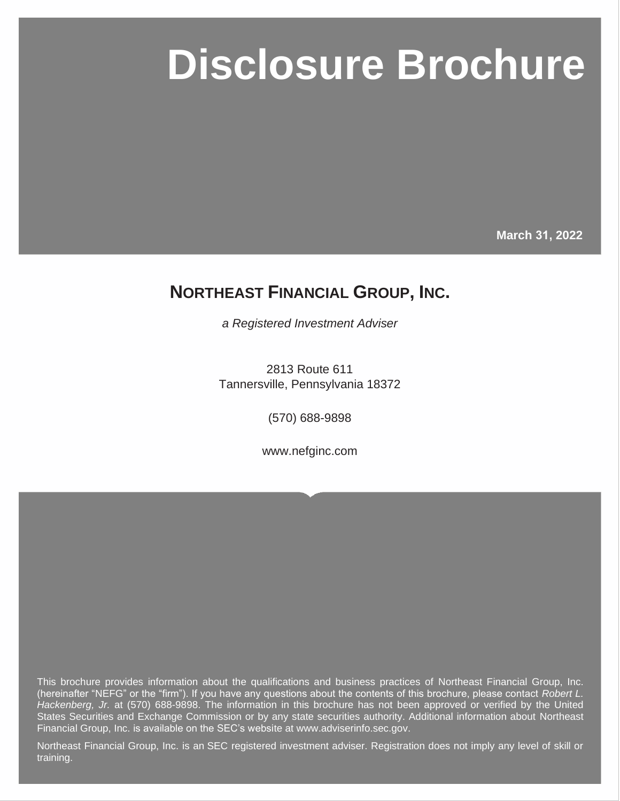# **Northeast Financial Group**

**March 31, 2022** 

## **NORTHEAST FINANCIAL GROUP, INC.**

*a Registered Investment Adviser*

2813 Route 611 Tannersville, Pennsylvania 18372

(570) 688-9898

www.nefginc.com

This brochure provides information about the qualifications and business practices of Northeast Financial Group, Inc. (hereinafter "NEFG" or the "firm"). If you have any questions about the contents of this brochure, please contact *Robert L. Hackenberg, Jr.* at (570) 688-9898. The information in this brochure has not been approved or verified by the United States Securities and Exchange Commission or by any state securities authority. Additional information about Northeast Financial Group, Inc. is available on the SEC's website at www.adviserinfo.sec.gov.

Northeast Financial Group, Inc. is an SEC registered investment adviser. Registration does not imply any level of skill or training.

Page i © MarketCounsel 2022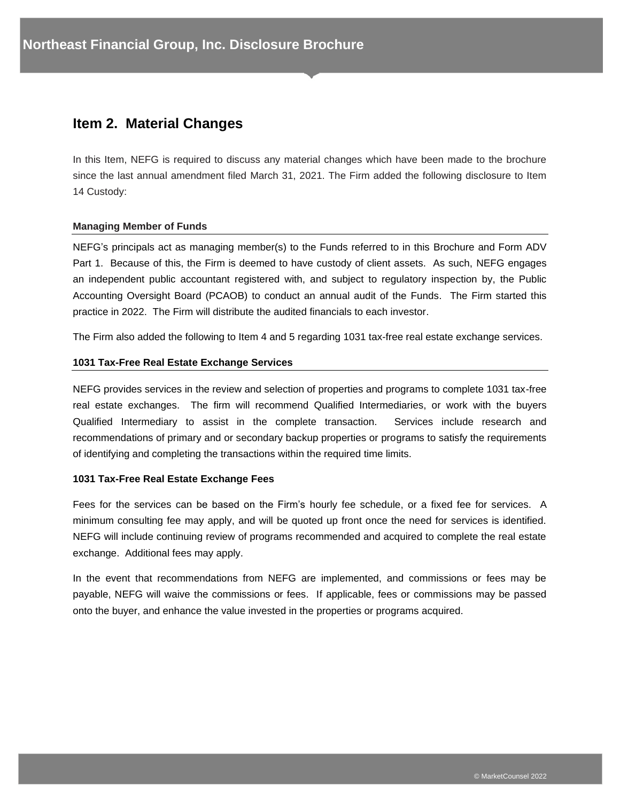## **Item 2. Material Changes**

In this Item, NEFG is required to discuss any material changes which have been made to the brochure since the last annual amendment filed March 31, 2021. The Firm added the following disclosure to Item 14 Custody:

#### **Managing Member of Funds**

NEFG's principals act as managing member(s) to the Funds referred to in this Brochure and Form ADV Part 1. Because of this, the Firm is deemed to have custody of client assets. As such, NEFG engages an independent public accountant registered with, and subject to regulatory inspection by, the Public Accounting Oversight Board (PCAOB) to conduct an annual audit of the Funds. The Firm started this practice in 2022. The Firm will distribute the audited financials to each investor.

The Firm also added the following to Item 4 and 5 regarding 1031 tax-free real estate exchange services.

#### **1031 Tax-Free Real Estate Exchange Services**

NEFG provides services in the review and selection of properties and programs to complete 1031 tax-free real estate exchanges. The firm will recommend Qualified Intermediaries, or work with the buyers Qualified Intermediary to assist in the complete transaction. Services include research and recommendations of primary and or secondary backup properties or programs to satisfy the requirements of identifying and completing the transactions within the required time limits.

#### **1031 Tax-Free Real Estate Exchange Fees**

Fees for the services can be based on the Firm's hourly fee schedule, or a fixed fee for services. A minimum consulting fee may apply, and will be quoted up front once the need for services is identified. NEFG will include continuing review of programs recommended and acquired to complete the real estate exchange. Additional fees may apply.

In the event that recommendations from NEFG are implemented, and commissions or fees may be payable, NEFG will waive the commissions or fees. If applicable, fees or commissions may be passed onto the buyer, and enhance the value invested in the properties or programs acquired.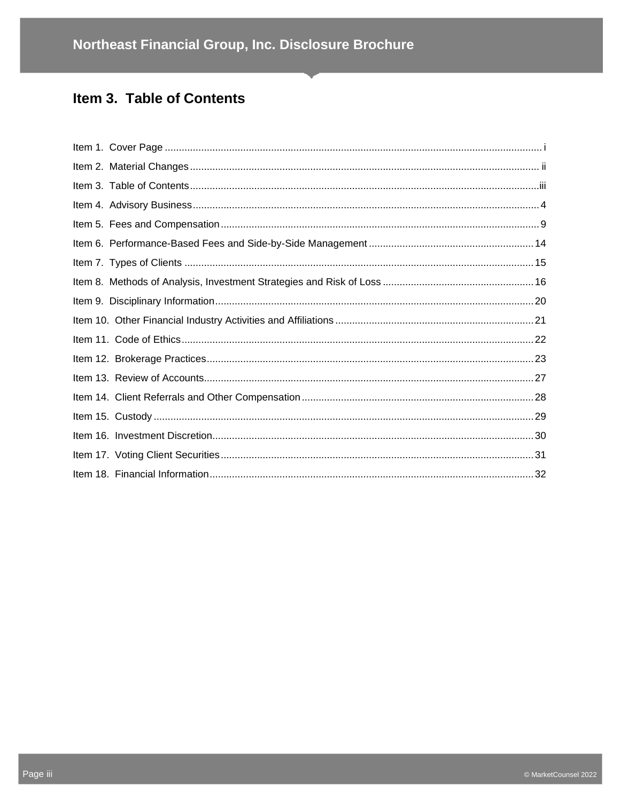## Item 3. Table of Contents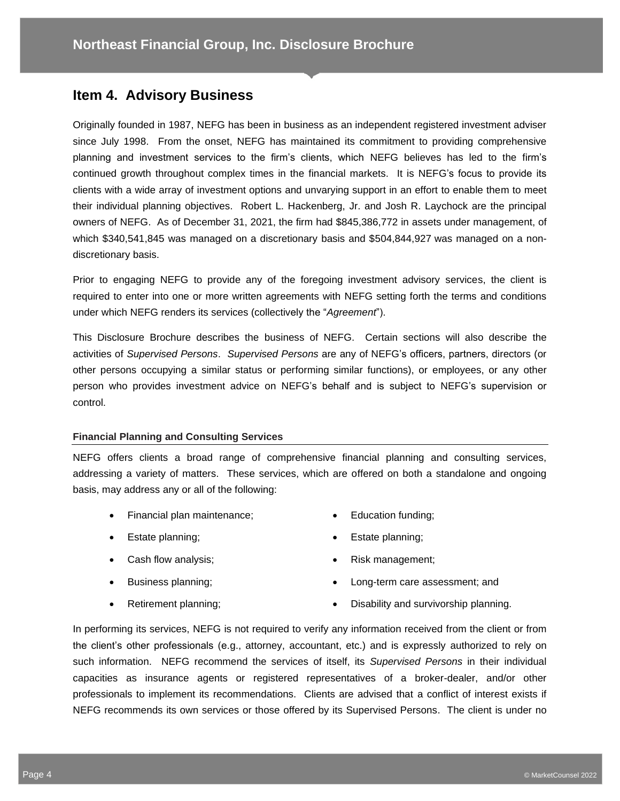## **Item 4. Advisory Business**

Originally founded in 1987, NEFG has been in business as an independent registered investment adviser since July 1998. From the onset, NEFG has maintained its commitment to providing comprehensive planning and investment services to the firm's clients, which NEFG believes has led to the firm's continued growth throughout complex times in the financial markets. It is NEFG's focus to provide its clients with a wide array of investment options and unvarying support in an effort to enable them to meet their individual planning objectives. Robert L. Hackenberg, Jr. and Josh R. Laychock are the principal owners of NEFG. As of December 31, 2021, the firm had \$845,386,772 in assets under management, of which \$340,541,845 was managed on a discretionary basis and \$504,844,927 was managed on a nondiscretionary basis.

Prior to engaging NEFG to provide any of the foregoing investment advisory services, the client is required to enter into one or more written agreements with NEFG setting forth the terms and conditions under which NEFG renders its services (collectively the "*Agreement*").

This Disclosure Brochure describes the business of NEFG. Certain sections will also describe the activities of *Supervised Persons*. *Supervised Persons* are any of NEFG's officers, partners, directors (or other persons occupying a similar status or performing similar functions), or employees, or any other person who provides investment advice on NEFG's behalf and is subject to NEFG's supervision or control.

#### **Financial Planning and Consulting Services**

NEFG offers clients a broad range of comprehensive financial planning and consulting services, addressing a variety of matters. These services, which are offered on both a standalone and ongoing basis, may address any or all of the following:

- Financial plan maintenance;
- Estate planning;
- Cash flow analysis;
- Business planning;
- Education funding;
- Estate planning;
- Risk management;
- Long-term care assessment; and

• Retirement planning;

• Disability and survivorship planning.

In performing its services, NEFG is not required to verify any information received from the client or from the client's other professionals (e.g., attorney, accountant, etc.) and is expressly authorized to rely on such information. NEFG recommend the services of itself, its *Supervised Persons* in their individual capacities as insurance agents or registered representatives of a broker-dealer, and/or other professionals to implement its recommendations. Clients are advised that a conflict of interest exists if NEFG recommends its own services or those offered by its Supervised Persons. The client is under no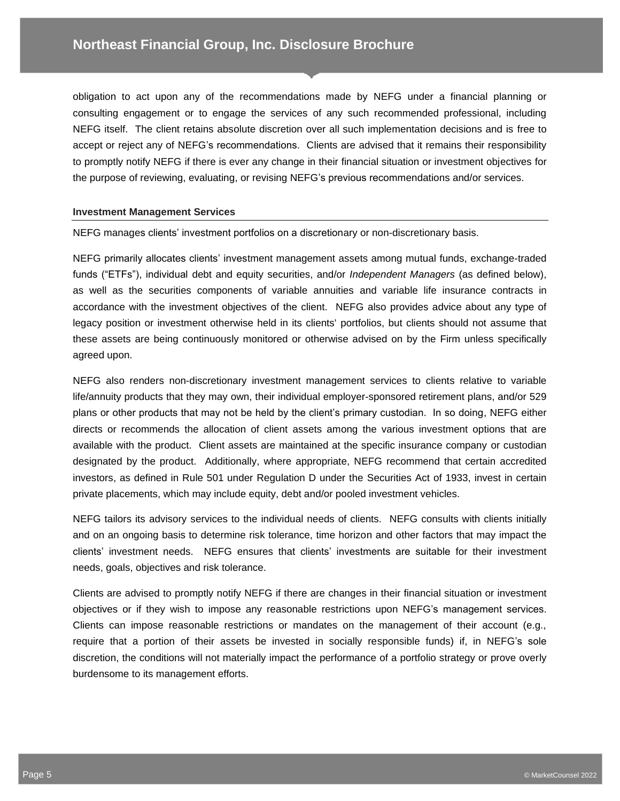obligation to act upon any of the recommendations made by NEFG under a financial planning or consulting engagement or to engage the services of any such recommended professional, including NEFG itself. The client retains absolute discretion over all such implementation decisions and is free to accept or reject any of NEFG's recommendations. Clients are advised that it remains their responsibility to promptly notify NEFG if there is ever any change in their financial situation or investment objectives for the purpose of reviewing, evaluating, or revising NEFG's previous recommendations and/or services.

#### **Investment Management Services**

NEFG manages clients' investment portfolios on a discretionary or non-discretionary basis.

NEFG primarily allocates clients' investment management assets among mutual funds, exchange-traded funds ("ETFs"), individual debt and equity securities, and/or *Independent Managers* (as defined below), as well as the securities components of variable annuities and variable life insurance contracts in accordance with the investment objectives of the client. NEFG also provides advice about any type of legacy position or investment otherwise held in its clients' portfolios, but clients should not assume that these assets are being continuously monitored or otherwise advised on by the Firm unless specifically agreed upon.

NEFG also renders non-discretionary investment management services to clients relative to variable life/annuity products that they may own, their individual employer-sponsored retirement plans, and/or 529 plans or other products that may not be held by the client's primary custodian. In so doing, NEFG either directs or recommends the allocation of client assets among the various investment options that are available with the product. Client assets are maintained at the specific insurance company or custodian designated by the product. Additionally, where appropriate, NEFG recommend that certain accredited investors, as defined in Rule 501 under Regulation D under the Securities Act of 1933, invest in certain private placements, which may include equity, debt and/or pooled investment vehicles.

NEFG tailors its advisory services to the individual needs of clients. NEFG consults with clients initially and on an ongoing basis to determine risk tolerance, time horizon and other factors that may impact the clients' investment needs. NEFG ensures that clients' investments are suitable for their investment needs, goals, objectives and risk tolerance.

Clients are advised to promptly notify NEFG if there are changes in their financial situation or investment objectives or if they wish to impose any reasonable restrictions upon NEFG's management services. Clients can impose reasonable restrictions or mandates on the management of their account (e.g., require that a portion of their assets be invested in socially responsible funds) if, in NEFG's sole discretion, the conditions will not materially impact the performance of a portfolio strategy or prove overly burdensome to its management efforts.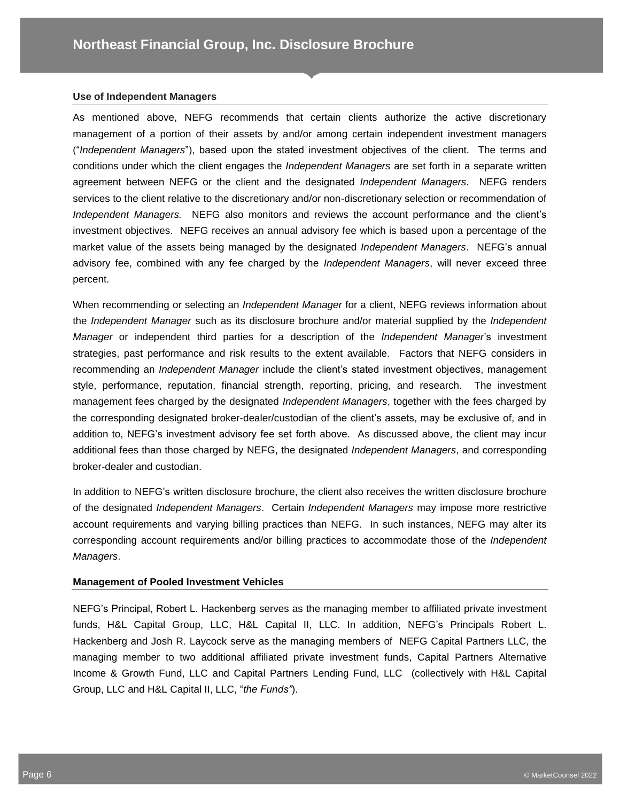#### **Use of Independent Managers**

As mentioned above, NEFG recommends that certain clients authorize the active discretionary management of a portion of their assets by and/or among certain independent investment managers ("*Independent Managers*"), based upon the stated investment objectives of the client. The terms and conditions under which the client engages the *Independent Managers* are set forth in a separate written agreement between NEFG or the client and the designated *Independent Managers*. NEFG renders services to the client relative to the discretionary and/or non-discretionary selection or recommendation of *Independent Managers.* NEFG also monitors and reviews the account performance and the client's investment objectives. NEFG receives an annual advisory fee which is based upon a percentage of the market value of the assets being managed by the designated *Independent Managers*. NEFG's annual advisory fee, combined with any fee charged by the *Independent Managers*, will never exceed three percent.

When recommending or selecting an *Independent Manager* for a client, NEFG reviews information about the *Independent Manager* such as its disclosure brochure and/or material supplied by the *Independent Manager* or independent third parties for a description of the *Independent Manager*'s investment strategies, past performance and risk results to the extent available. Factors that NEFG considers in recommending an *Independent Manager* include the client's stated investment objectives, management style, performance, reputation, financial strength, reporting, pricing, and research. The investment management fees charged by the designated *Independent Managers*, together with the fees charged by the corresponding designated broker-dealer/custodian of the client's assets, may be exclusive of, and in addition to, NEFG's investment advisory fee set forth above. As discussed above, the client may incur additional fees than those charged by NEFG, the designated *Independent Managers*, and corresponding broker-dealer and custodian.

In addition to NEFG's written disclosure brochure, the client also receives the written disclosure brochure of the designated *Independent Managers*. Certain *Independent Managers* may impose more restrictive account requirements and varying billing practices than NEFG. In such instances, NEFG may alter its corresponding account requirements and/or billing practices to accommodate those of the *Independent Managers*.

#### **Management of Pooled Investment Vehicles**

NEFG's Principal, Robert L. Hackenberg serves as the managing member to affiliated private investment funds, H&L Capital Group, LLC, H&L Capital II, LLC. In addition, NEFG's Principals Robert L. Hackenberg and Josh R. Laycock serve as the managing members of NEFG Capital Partners LLC, the managing member to two additional affiliated private investment funds, Capital Partners Alternative Income & Growth Fund, LLC and Capital Partners Lending Fund, LLC (collectively with H&L Capital Group, LLC and H&L Capital II, LLC, "*the Funds"*).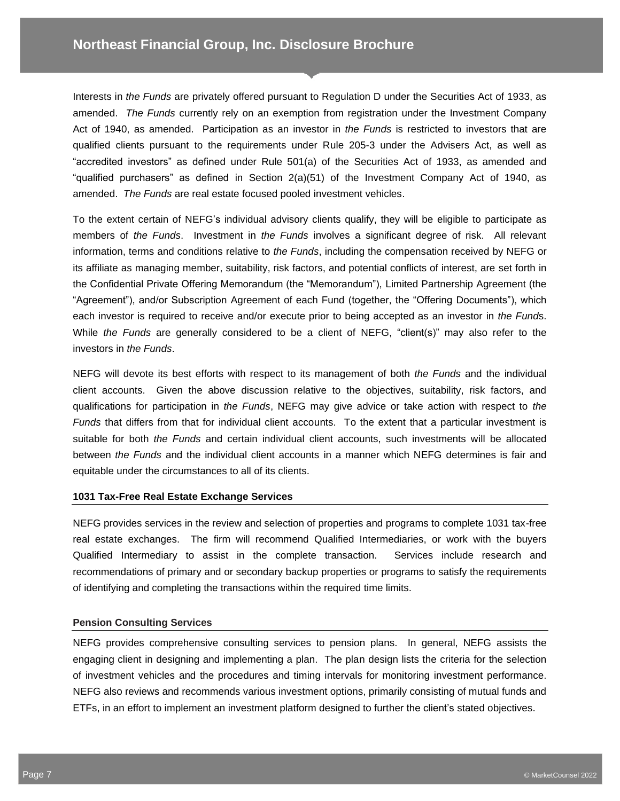Interests in *the Funds* are privately offered pursuant to Regulation D under the Securities Act of 1933, as amended. *The Funds* currently rely on an exemption from registration under the Investment Company Act of 1940, as amended. Participation as an investor in *the Funds* is restricted to investors that are qualified clients pursuant to the requirements under Rule 205-3 under the Advisers Act, as well as "accredited investors" as defined under Rule 501(a) of the Securities Act of 1933, as amended and "qualified purchasers" as defined in Section 2(a)(51) of the Investment Company Act of 1940, as amended. *The Funds* are real estate focused pooled investment vehicles.

To the extent certain of NEFG's individual advisory clients qualify, they will be eligible to participate as members of *the Funds*. Investment in *the Funds* involves a significant degree of risk. All relevant information, terms and conditions relative to *the Funds*, including the compensation received by NEFG or its affiliate as managing member, suitability, risk factors, and potential conflicts of interest, are set forth in the Confidential Private Offering Memorandum (the "Memorandum"), Limited Partnership Agreement (the "Agreement"), and/or Subscription Agreement of each Fund (together, the "Offering Documents"), which each investor is required to receive and/or execute prior to being accepted as an investor in *the Fund*s. While *the Funds* are generally considered to be a client of NEFG, "client(s)" may also refer to the investors in *the Funds*.

NEFG will devote its best efforts with respect to its management of both *the Funds* and the individual client accounts. Given the above discussion relative to the objectives, suitability, risk factors, and qualifications for participation in *the Funds*, NEFG may give advice or take action with respect to *the Funds* that differs from that for individual client accounts. To the extent that a particular investment is suitable for both *the Funds* and certain individual client accounts, such investments will be allocated between *the Funds* and the individual client accounts in a manner which NEFG determines is fair and equitable under the circumstances to all of its clients.

#### **1031 Tax-Free Real Estate Exchange Services**

NEFG provides services in the review and selection of properties and programs to complete 1031 tax-free real estate exchanges. The firm will recommend Qualified Intermediaries, or work with the buyers Qualified Intermediary to assist in the complete transaction. Services include research and recommendations of primary and or secondary backup properties or programs to satisfy the requirements of identifying and completing the transactions within the required time limits.

#### **Pension Consulting Services**

NEFG provides comprehensive consulting services to pension plans. In general, NEFG assists the engaging client in designing and implementing a plan. The plan design lists the criteria for the selection of investment vehicles and the procedures and timing intervals for monitoring investment performance. NEFG also reviews and recommends various investment options, primarily consisting of mutual funds and ETFs, in an effort to implement an investment platform designed to further the client's stated objectives.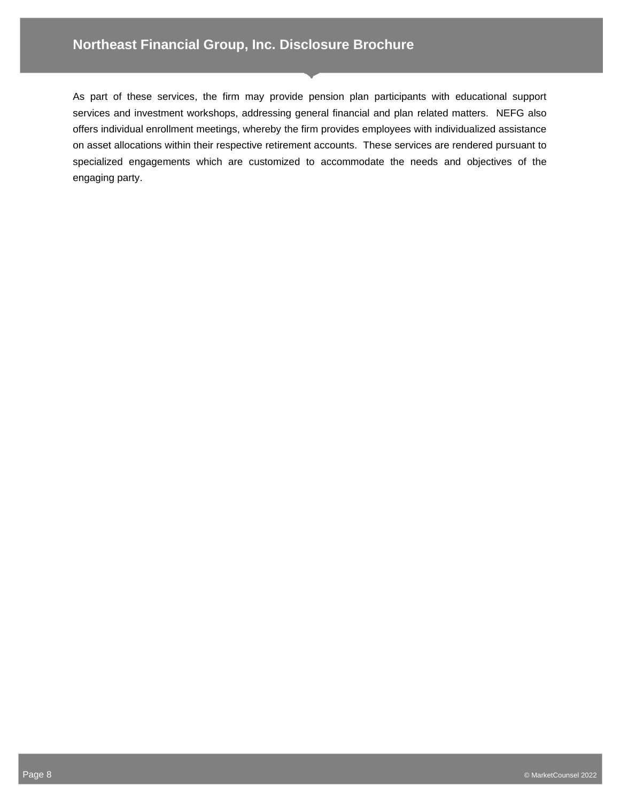## **Northeast Financial Group, Inc. Disclosure Brochure**

As part of these services, the firm may provide pension plan participants with educational support services and investment workshops, addressing general financial and plan related matters. NEFG also offers individual enrollment meetings, whereby the firm provides employees with individualized assistance on asset allocations within their respective retirement accounts. These services are rendered pursuant to specialized engagements which are customized to accommodate the needs and objectives of the engaging party.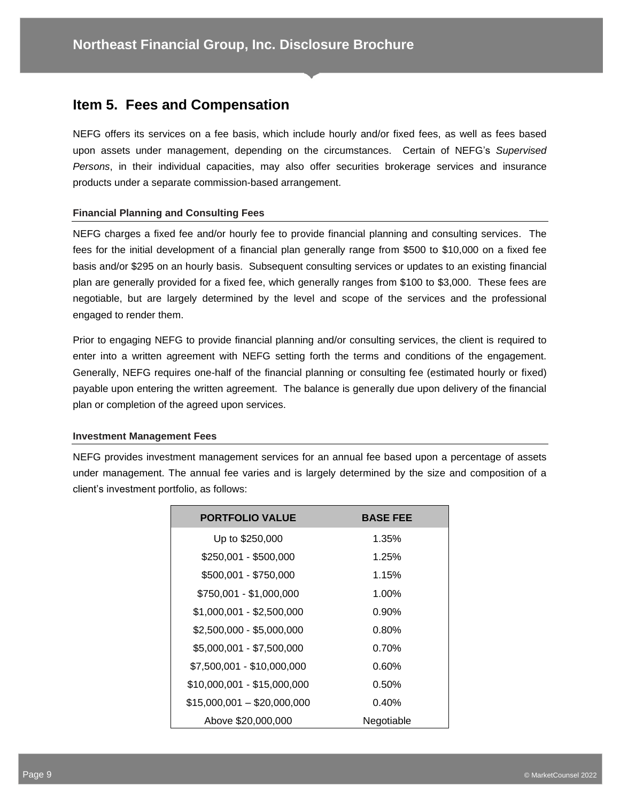## **Item 5. Fees and Compensation**

NEFG offers its services on a fee basis, which include hourly and/or fixed fees, as well as fees based upon assets under management, depending on the circumstances. Certain of NEFG's *Supervised Persons*, in their individual capacities, may also offer securities brokerage services and insurance products under a separate commission-based arrangement.

#### **Financial Planning and Consulting Fees**

NEFG charges a fixed fee and/or hourly fee to provide financial planning and consulting services. The fees for the initial development of a financial plan generally range from \$500 to \$10,000 on a fixed fee basis and/or \$295 on an hourly basis. Subsequent consulting services or updates to an existing financial plan are generally provided for a fixed fee, which generally ranges from \$100 to \$3,000. These fees are negotiable, but are largely determined by the level and scope of the services and the professional engaged to render them.

Prior to engaging NEFG to provide financial planning and/or consulting services, the client is required to enter into a written agreement with NEFG setting forth the terms and conditions of the engagement. Generally, NEFG requires one-half of the financial planning or consulting fee (estimated hourly or fixed) payable upon entering the written agreement. The balance is generally due upon delivery of the financial plan or completion of the agreed upon services.

#### **Investment Management Fees**

NEFG provides investment management services for an annual fee based upon a percentage of assets under management. The annual fee varies and is largely determined by the size and composition of a client's investment portfolio, as follows:

| <b>PORTFOLIO VALUE</b>      | <b>BASE FEE</b> |
|-----------------------------|-----------------|
| Up to \$250,000             | 1.35%           |
| \$250,001 - \$500,000       | 1.25%           |
| \$500,001 - \$750,000       | 1.15%           |
| \$750,001 - \$1,000,000     | 1.00%           |
| $$1,000,001 - $2,500,000$   | $0.90\%$        |
| \$2,500,000 - \$5,000,000   | 0.80%           |
| \$5,000,001 - \$7,500,000   | 0.70%           |
| \$7,500,001 - \$10,000,000  | $0.60\%$        |
| \$10,000,001 - \$15,000,000 | 0.50%           |
| $$15,000,001 - $20,000,000$ | 0.40%           |
| Above \$20,000,000          | Negotiable      |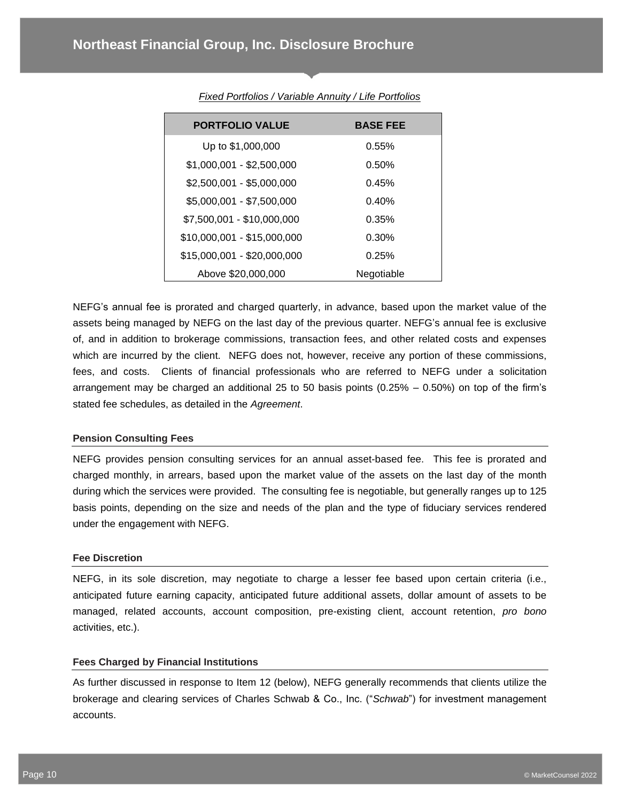| <b>PORTFOLIO VALUE</b>      | <b>BASE FEE</b> |
|-----------------------------|-----------------|
| Up to \$1,000,000           | 0.55%           |
| $$1,000,001 - $2,500,000$   | 0.50%           |
| \$2,500,001 - \$5,000,000   | 0.45%           |
| \$5,000,001 - \$7,500,000   | 0.40%           |
| \$7,500,001 - \$10,000,000  | 0.35%           |
| \$10,000,001 - \$15,000,000 | 0.30%           |
| \$15,000,001 - \$20,000,000 | 0.25%           |
| Above \$20,000,000          | Negotiable      |

#### *Fixed Portfolios / Variable Annuity / Life Portfolios*

NEFG's annual fee is prorated and charged quarterly, in advance, based upon the market value of the assets being managed by NEFG on the last day of the previous quarter. NEFG's annual fee is exclusive of, and in addition to brokerage commissions, transaction fees, and other related costs and expenses which are incurred by the client. NEFG does not, however, receive any portion of these commissions, fees, and costs. Clients of financial professionals who are referred to NEFG under a solicitation arrangement may be charged an additional 25 to 50 basis points  $(0.25\% - 0.50\%)$  on top of the firm's stated fee schedules, as detailed in the *Agreement*.

#### **Pension Consulting Fees**

NEFG provides pension consulting services for an annual asset-based fee. This fee is prorated and charged monthly, in arrears, based upon the market value of the assets on the last day of the month during which the services were provided. The consulting fee is negotiable, but generally ranges up to 125 basis points, depending on the size and needs of the plan and the type of fiduciary services rendered under the engagement with NEFG.

#### **Fee Discretion**

NEFG, in its sole discretion, may negotiate to charge a lesser fee based upon certain criteria (i.e., anticipated future earning capacity, anticipated future additional assets, dollar amount of assets to be managed, related accounts, account composition, pre-existing client, account retention, *pro bono* activities, etc.).

#### **Fees Charged by Financial Institutions**

As further discussed in response to Item 12 (below), NEFG generally recommends that clients utilize the brokerage and clearing services of Charles Schwab & Co., Inc. ("*Schwab*") for investment management accounts.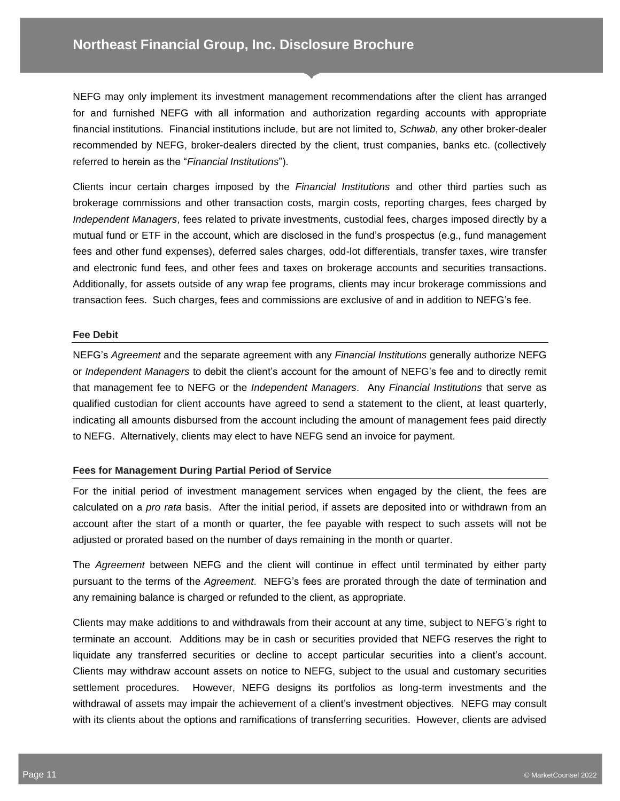NEFG may only implement its investment management recommendations after the client has arranged for and furnished NEFG with all information and authorization regarding accounts with appropriate financial institutions. Financial institutions include, but are not limited to, *Schwab*, any other broker-dealer recommended by NEFG, broker-dealers directed by the client, trust companies, banks etc. (collectively referred to herein as the "*Financial Institutions*").

Clients incur certain charges imposed by the *Financial Institutions* and other third parties such as brokerage commissions and other transaction costs, margin costs, reporting charges, fees charged by *Independent Managers*, fees related to private investments, custodial fees, charges imposed directly by a mutual fund or ETF in the account, which are disclosed in the fund's prospectus (e.g., fund management fees and other fund expenses), deferred sales charges, odd-lot differentials, transfer taxes, wire transfer and electronic fund fees, and other fees and taxes on brokerage accounts and securities transactions. Additionally, for assets outside of any wrap fee programs, clients may incur brokerage commissions and transaction fees. Such charges, fees and commissions are exclusive of and in addition to NEFG's fee.

#### **Fee Debit**

NEFG's *Agreement* and the separate agreement with any *Financial Institutions* generally authorize NEFG or *Independent Managers* to debit the client's account for the amount of NEFG's fee and to directly remit that management fee to NEFG or the *Independent Managers*. Any *Financial Institutions* that serve as qualified custodian for client accounts have agreed to send a statement to the client, at least quarterly, indicating all amounts disbursed from the account including the amount of management fees paid directly to NEFG. Alternatively, clients may elect to have NEFG send an invoice for payment.

#### **Fees for Management During Partial Period of Service**

For the initial period of investment management services when engaged by the client, the fees are calculated on a *pro rata* basis. After the initial period, if assets are deposited into or withdrawn from an account after the start of a month or quarter, the fee payable with respect to such assets will not be adjusted or prorated based on the number of days remaining in the month or quarter.

The *Agreement* between NEFG and the client will continue in effect until terminated by either party pursuant to the terms of the *Agreement*. NEFG's fees are prorated through the date of termination and any remaining balance is charged or refunded to the client, as appropriate.

Clients may make additions to and withdrawals from their account at any time, subject to NEFG's right to terminate an account. Additions may be in cash or securities provided that NEFG reserves the right to liquidate any transferred securities or decline to accept particular securities into a client's account. Clients may withdraw account assets on notice to NEFG, subject to the usual and customary securities settlement procedures. However, NEFG designs its portfolios as long-term investments and the withdrawal of assets may impair the achievement of a client's investment objectives. NEFG may consult with its clients about the options and ramifications of transferring securities. However, clients are advised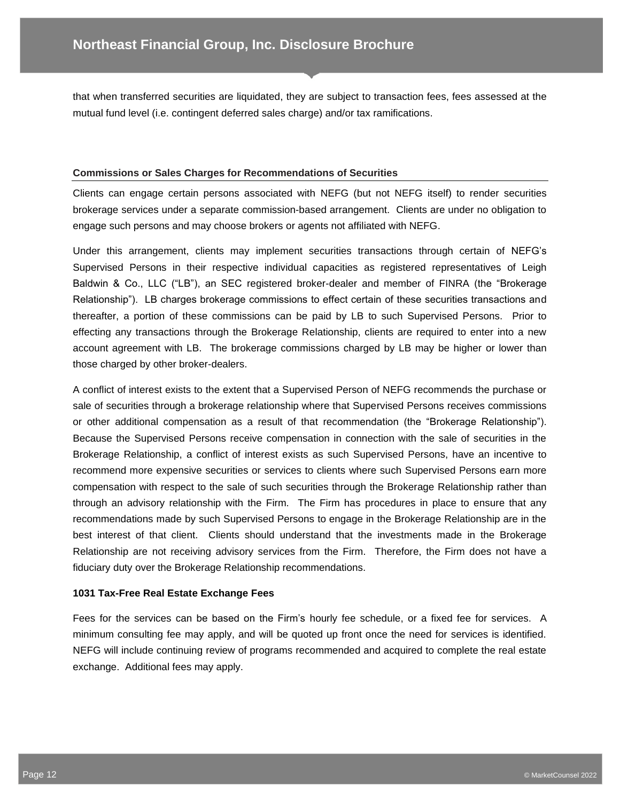that when transferred securities are liquidated, they are subject to transaction fees, fees assessed at the mutual fund level (i.e. contingent deferred sales charge) and/or tax ramifications.

#### **Commissions or Sales Charges for Recommendations of Securities**

Clients can engage certain persons associated with NEFG (but not NEFG itself) to render securities brokerage services under a separate commission-based arrangement. Clients are under no obligation to engage such persons and may choose brokers or agents not affiliated with NEFG.

Under this arrangement, clients may implement securities transactions through certain of NEFG's Supervised Persons in their respective individual capacities as registered representatives of Leigh Baldwin & Co., LLC ("LB"), an SEC registered broker-dealer and member of FINRA (the "Brokerage Relationship"). LB charges brokerage commissions to effect certain of these securities transactions and thereafter, a portion of these commissions can be paid by LB to such Supervised Persons. Prior to effecting any transactions through the Brokerage Relationship, clients are required to enter into a new account agreement with LB. The brokerage commissions charged by LB may be higher or lower than those charged by other broker-dealers.

A conflict of interest exists to the extent that a Supervised Person of NEFG recommends the purchase or sale of securities through a brokerage relationship where that Supervised Persons receives commissions or other additional compensation as a result of that recommendation (the "Brokerage Relationship"). Because the Supervised Persons receive compensation in connection with the sale of securities in the Brokerage Relationship, a conflict of interest exists as such Supervised Persons, have an incentive to recommend more expensive securities or services to clients where such Supervised Persons earn more compensation with respect to the sale of such securities through the Brokerage Relationship rather than through an advisory relationship with the Firm. The Firm has procedures in place to ensure that any recommendations made by such Supervised Persons to engage in the Brokerage Relationship are in the best interest of that client. Clients should understand that the investments made in the Brokerage Relationship are not receiving advisory services from the Firm. Therefore, the Firm does not have a fiduciary duty over the Brokerage Relationship recommendations.

#### **1031 Tax-Free Real Estate Exchange Fees**

Fees for the services can be based on the Firm's hourly fee schedule, or a fixed fee for services. A minimum consulting fee may apply, and will be quoted up front once the need for services is identified. NEFG will include continuing review of programs recommended and acquired to complete the real estate exchange. Additional fees may apply.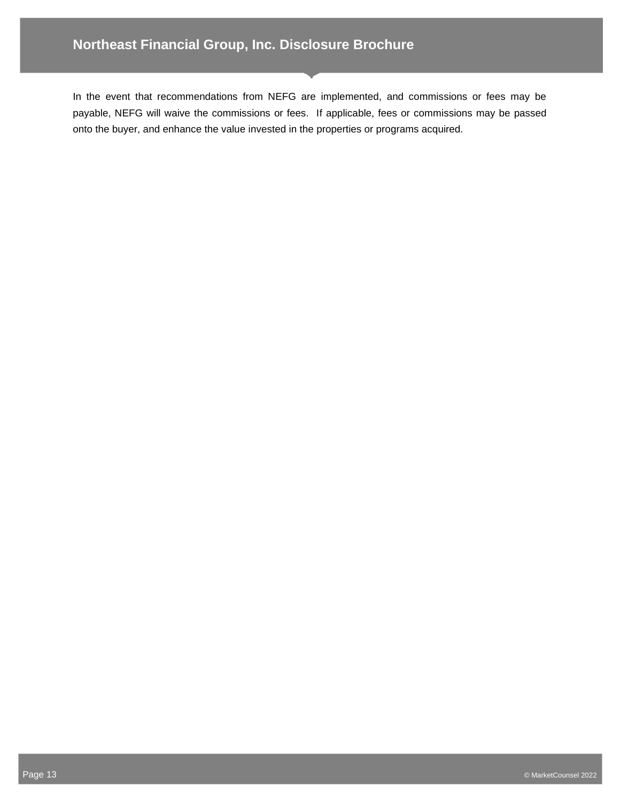In the event that recommendations from NEFG are implemented, and commissions or fees may be payable, NEFG will waive the commissions or fees. If applicable, fees or commissions may be passed onto the buyer, and enhance the value invested in the properties or programs acquired.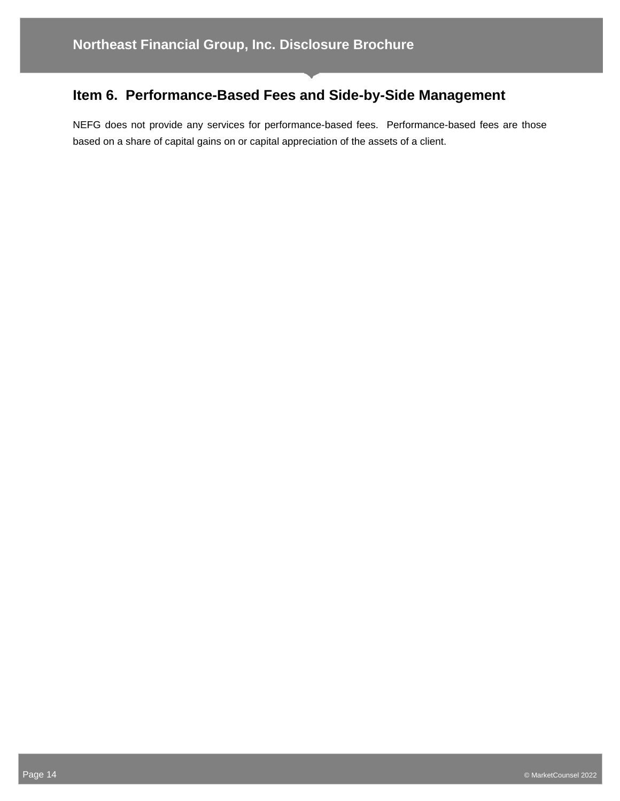## **Item 6. Performance-Based Fees and Side-by-Side Management**

NEFG does not provide any services for performance-based fees. Performance-based fees are those based on a share of capital gains on or capital appreciation of the assets of a client.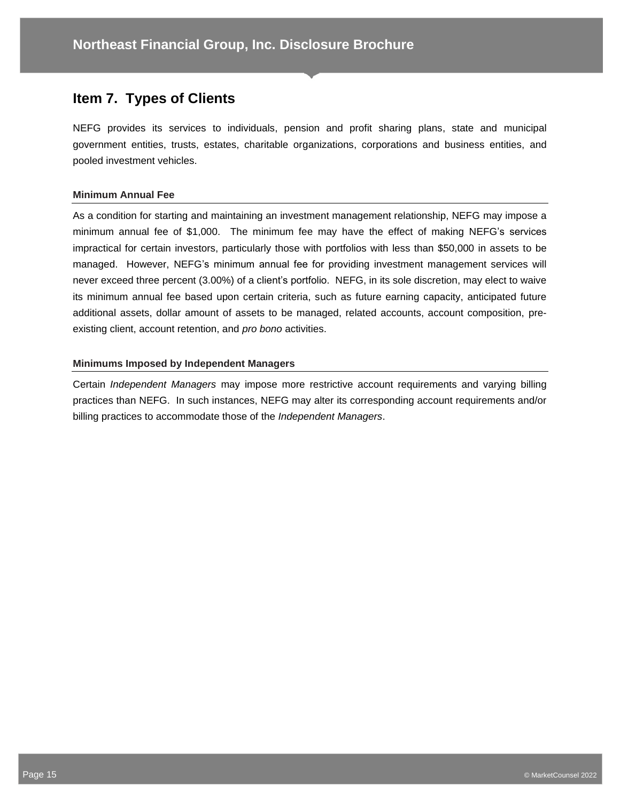## **Item 7. Types of Clients**

NEFG provides its services to individuals, pension and profit sharing plans, state and municipal government entities, trusts, estates, charitable organizations, corporations and business entities, and pooled investment vehicles.

#### **Minimum Annual Fee**

As a condition for starting and maintaining an investment management relationship, NEFG may impose a minimum annual fee of \$1,000. The minimum fee may have the effect of making NEFG's services impractical for certain investors, particularly those with portfolios with less than \$50,000 in assets to be managed. However, NEFG's minimum annual fee for providing investment management services will never exceed three percent (3.00%) of a client's portfolio. NEFG, in its sole discretion, may elect to waive its minimum annual fee based upon certain criteria, such as future earning capacity, anticipated future additional assets, dollar amount of assets to be managed, related accounts, account composition, preexisting client, account retention, and *pro bono* activities.

#### **Minimums Imposed by Independent Managers**

Certain *Independent Managers* may impose more restrictive account requirements and varying billing practices than NEFG. In such instances, NEFG may alter its corresponding account requirements and/or billing practices to accommodate those of the *Independent Managers*.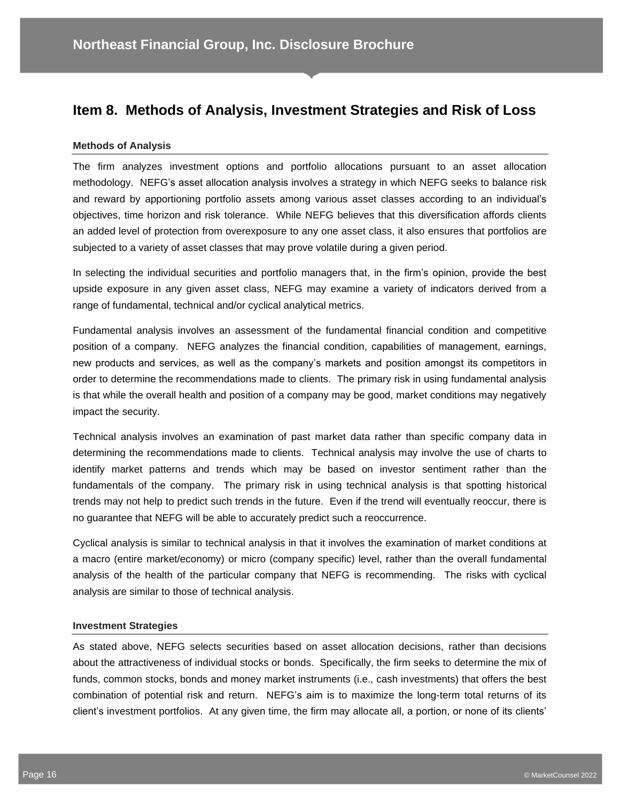## **Item 8. Methods of Analysis, Investment Strategies and Risk of Loss**

#### **Methods of Analysis**

The firm analyzes investment options and portfolio allocations pursuant to an asset allocation methodology. NEFG's asset allocation analysis involves a strategy in which NEFG seeks to balance risk and reward by apportioning portfolio assets among various asset classes according to an individual's objectives, time horizon and risk tolerance. While NEFG believes that this diversification affords clients an added level of protection from overexposure to any one asset class, it also ensures that portfolios are subjected to a variety of asset classes that may prove volatile during a given period.

In selecting the individual securities and portfolio managers that, in the firm's opinion, provide the best upside exposure in any given asset class, NEFG may examine a variety of indicators derived from a range of fundamental, technical and/or cyclical analytical metrics.

Fundamental analysis involves an assessment of the fundamental financial condition and competitive position of a company. NEFG analyzes the financial condition, capabilities of management, earnings, new products and services, as well as the company's markets and position amongst its competitors in order to determine the recommendations made to clients. The primary risk in using fundamental analysis is that while the overall health and position of a company may be good, market conditions may negatively impact the security.

Technical analysis involves an examination of past market data rather than specific company data in determining the recommendations made to clients. Technical analysis may involve the use of charts to identify market patterns and trends which may be based on investor sentiment rather than the fundamentals of the company. The primary risk in using technical analysis is that spotting historical trends may not help to predict such trends in the future. Even if the trend will eventually reoccur, there is no guarantee that NEFG will be able to accurately predict such a reoccurrence.

Cyclical analysis is similar to technical analysis in that it involves the examination of market conditions at a macro (entire market/economy) or micro (company specific) level, rather than the overall fundamental analysis of the health of the particular company that NEFG is recommending. The risks with cyclical analysis are similar to those of technical analysis.

#### **Investment Strategies**

As stated above, NEFG selects securities based on asset allocation decisions, rather than decisions about the attractiveness of individual stocks or bonds. Specifically, the firm seeks to determine the mix of funds, common stocks, bonds and money market instruments (i.e., cash investments) that offers the best combination of potential risk and return. NEFG's aim is to maximize the long-term total returns of its client's investment portfolios. At any given time, the firm may allocate all, a portion, or none of its clients'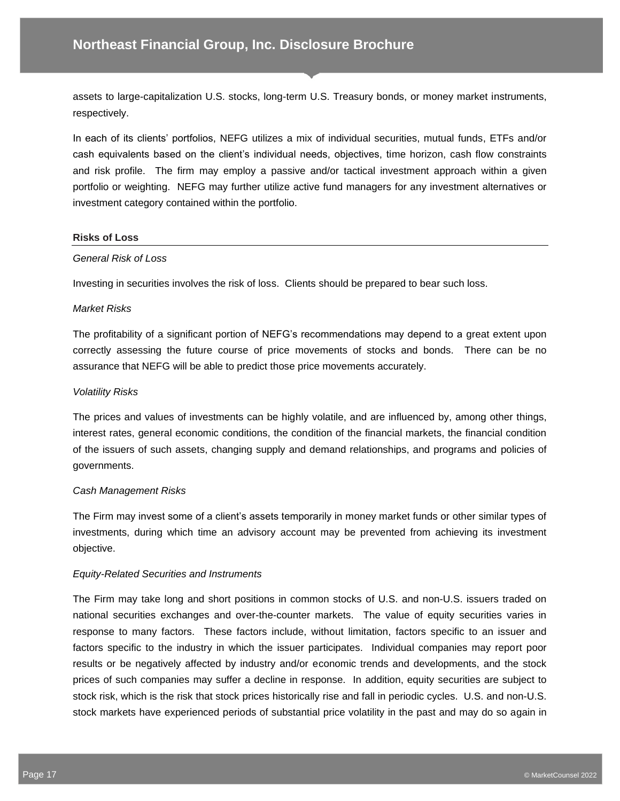assets to large-capitalization U.S. stocks, long-term U.S. Treasury bonds, or money market instruments, respectively.

In each of its clients' portfolios, NEFG utilizes a mix of individual securities, mutual funds, ETFs and/or cash equivalents based on the client's individual needs, objectives, time horizon, cash flow constraints and risk profile. The firm may employ a passive and/or tactical investment approach within a given portfolio or weighting. NEFG may further utilize active fund managers for any investment alternatives or investment category contained within the portfolio.

#### **Risks of Loss**

#### *General Risk of Loss*

Investing in securities involves the risk of loss. Clients should be prepared to bear such loss.

#### *Market Risks*

The profitability of a significant portion of NEFG's recommendations may depend to a great extent upon correctly assessing the future course of price movements of stocks and bonds. There can be no assurance that NEFG will be able to predict those price movements accurately.

#### *Volatility Risks*

The prices and values of investments can be highly volatile, and are influenced by, among other things, interest rates, general economic conditions, the condition of the financial markets, the financial condition of the issuers of such assets, changing supply and demand relationships, and programs and policies of governments.

#### *Cash Management Risks*

The Firm may invest some of a client's assets temporarily in money market funds or other similar types of investments, during which time an advisory account may be prevented from achieving its investment objective.

#### *Equity-Related Securities and Instruments*

The Firm may take long and short positions in common stocks of U.S. and non-U.S. issuers traded on national securities exchanges and over-the-counter markets. The value of equity securities varies in response to many factors. These factors include, without limitation, factors specific to an issuer and factors specific to the industry in which the issuer participates. Individual companies may report poor results or be negatively affected by industry and/or economic trends and developments, and the stock prices of such companies may suffer a decline in response. In addition, equity securities are subject to stock risk, which is the risk that stock prices historically rise and fall in periodic cycles. U.S. and non-U.S. stock markets have experienced periods of substantial price volatility in the past and may do so again in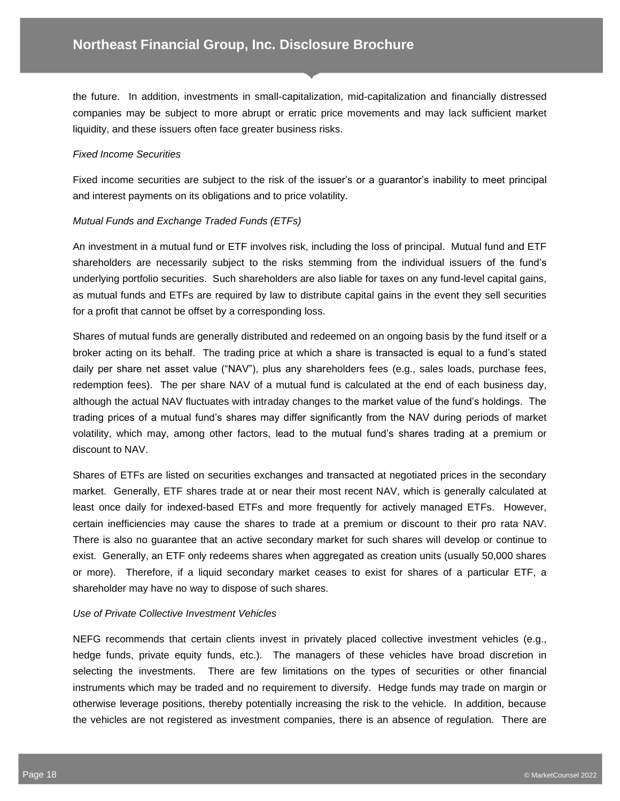the future. In addition, investments in small-capitalization, mid-capitalization and financially distressed companies may be subject to more abrupt or erratic price movements and may lack sufficient market liquidity, and these issuers often face greater business risks.

#### *Fixed Income Securities*

Fixed income securities are subject to the risk of the issuer's or a guarantor's inability to meet principal and interest payments on its obligations and to price volatility.

#### *Mutual Funds and Exchange Traded Funds (ETFs)*

An investment in a mutual fund or ETF involves risk, including the loss of principal. Mutual fund and ETF shareholders are necessarily subject to the risks stemming from the individual issuers of the fund's underlying portfolio securities. Such shareholders are also liable for taxes on any fund-level capital gains, as mutual funds and ETFs are required by law to distribute capital gains in the event they sell securities for a profit that cannot be offset by a corresponding loss.

Shares of mutual funds are generally distributed and redeemed on an ongoing basis by the fund itself or a broker acting on its behalf. The trading price at which a share is transacted is equal to a fund's stated daily per share net asset value ("NAV"), plus any shareholders fees (e.g., sales loads, purchase fees, redemption fees). The per share NAV of a mutual fund is calculated at the end of each business day, although the actual NAV fluctuates with intraday changes to the market value of the fund's holdings. The trading prices of a mutual fund's shares may differ significantly from the NAV during periods of market volatility, which may, among other factors, lead to the mutual fund's shares trading at a premium or discount to NAV.

Shares of ETFs are listed on securities exchanges and transacted at negotiated prices in the secondary market. Generally, ETF shares trade at or near their most recent NAV, which is generally calculated at least once daily for indexed-based ETFs and more frequently for actively managed ETFs. However, certain inefficiencies may cause the shares to trade at a premium or discount to their pro rata NAV. There is also no guarantee that an active secondary market for such shares will develop or continue to exist. Generally, an ETF only redeems shares when aggregated as creation units (usually 50,000 shares or more). Therefore, if a liquid secondary market ceases to exist for shares of a particular ETF, a shareholder may have no way to dispose of such shares.

#### *Use of Private Collective Investment Vehicles*

NEFG recommends that certain clients invest in privately placed collective investment vehicles (e.g., hedge funds, private equity funds, etc.). The managers of these vehicles have broad discretion in selecting the investments. There are few limitations on the types of securities or other financial instruments which may be traded and no requirement to diversify. Hedge funds may trade on margin or otherwise leverage positions, thereby potentially increasing the risk to the vehicle. In addition, because the vehicles are not registered as investment companies, there is an absence of regulation. There are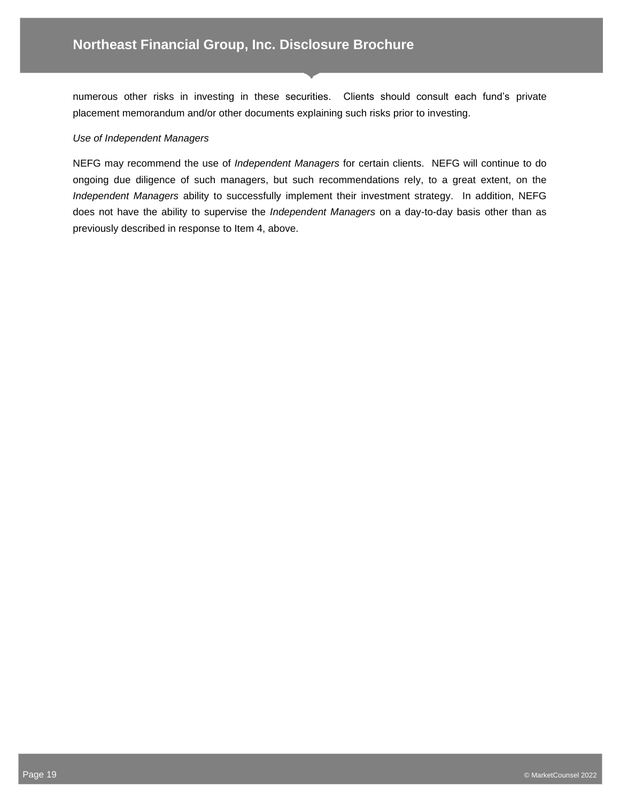numerous other risks in investing in these securities. Clients should consult each fund's private placement memorandum and/or other documents explaining such risks prior to investing.

#### *Use of Independent Managers*

NEFG may recommend the use of *Independent Managers* for certain clients. NEFG will continue to do ongoing due diligence of such managers, but such recommendations rely, to a great extent, on the *Independent Managers* ability to successfully implement their investment strategy. In addition, NEFG does not have the ability to supervise the *Independent Managers* on a day-to-day basis other than as previously described in response to Item 4, above.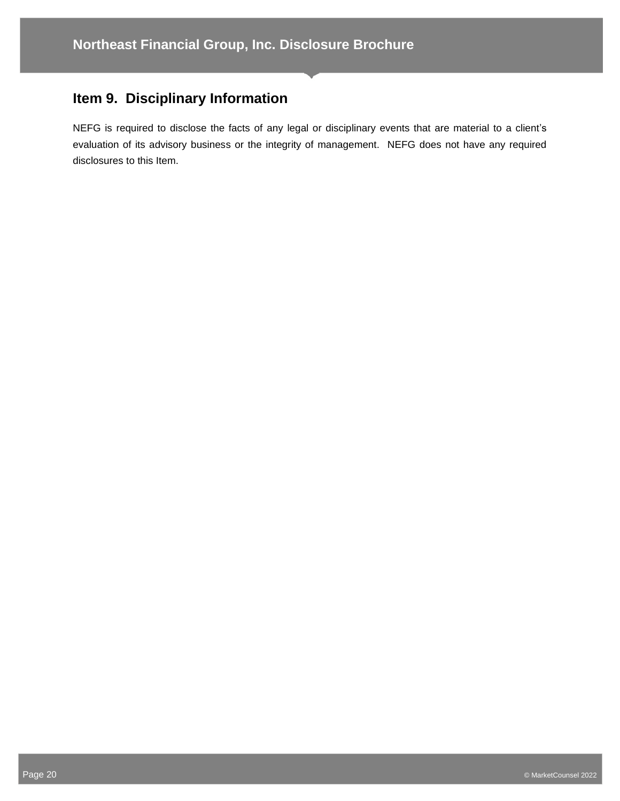## **Item 9. Disciplinary Information**

NEFG is required to disclose the facts of any legal or disciplinary events that are material to a client's evaluation of its advisory business or the integrity of management. NEFG does not have any required disclosures to this Item.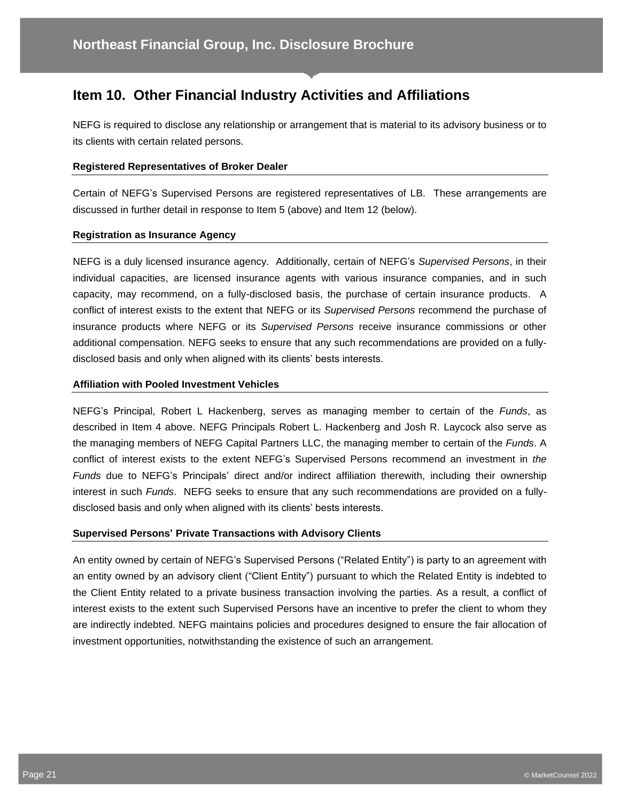## **Item 10. Other Financial Industry Activities and Affiliations**

NEFG is required to disclose any relationship or arrangement that is material to its advisory business or to its clients with certain related persons.

#### **Registered Representatives of Broker Dealer**

Certain of NEFG's Supervised Persons are registered representatives of LB. These arrangements are discussed in further detail in response to Item 5 (above) and Item 12 (below).

#### **Registration as Insurance Agency**

NEFG is a duly licensed insurance agency. Additionally, certain of NEFG's *Supervised Persons*, in their individual capacities, are licensed insurance agents with various insurance companies, and in such capacity, may recommend, on a fully-disclosed basis, the purchase of certain insurance products. A conflict of interest exists to the extent that NEFG or its *Supervised Persons* recommend the purchase of insurance products where NEFG or its *Supervised Persons* receive insurance commissions or other additional compensation. NEFG seeks to ensure that any such recommendations are provided on a fullydisclosed basis and only when aligned with its clients' bests interests.

#### **Affiliation with Pooled Investment Vehicles**

NEFG's Principal, Robert L Hackenberg, serves as managing member to certain of the *Funds*, as described in Item 4 above. NEFG Principals Robert L. Hackenberg and Josh R. Laycock also serve as the managing members of NEFG Capital Partners LLC, the managing member to certain of the *Funds*. A conflict of interest exists to the extent NEFG's Supervised Persons recommend an investment in *the Funds* due to NEFG's Principals' direct and/or indirect affiliation therewith, including their ownership interest in such *Funds*. NEFG seeks to ensure that any such recommendations are provided on a fullydisclosed basis and only when aligned with its clients' bests interests.

#### **Supervised Persons' Private Transactions with Advisory Clients**

An entity owned by certain of NEFG's Supervised Persons ("Related Entity") is party to an agreement with an entity owned by an advisory client ("Client Entity") pursuant to which the Related Entity is indebted to the Client Entity related to a private business transaction involving the parties. As a result, a conflict of interest exists to the extent such Supervised Persons have an incentive to prefer the client to whom they are indirectly indebted. NEFG maintains policies and procedures designed to ensure the fair allocation of investment opportunities, notwithstanding the existence of such an arrangement.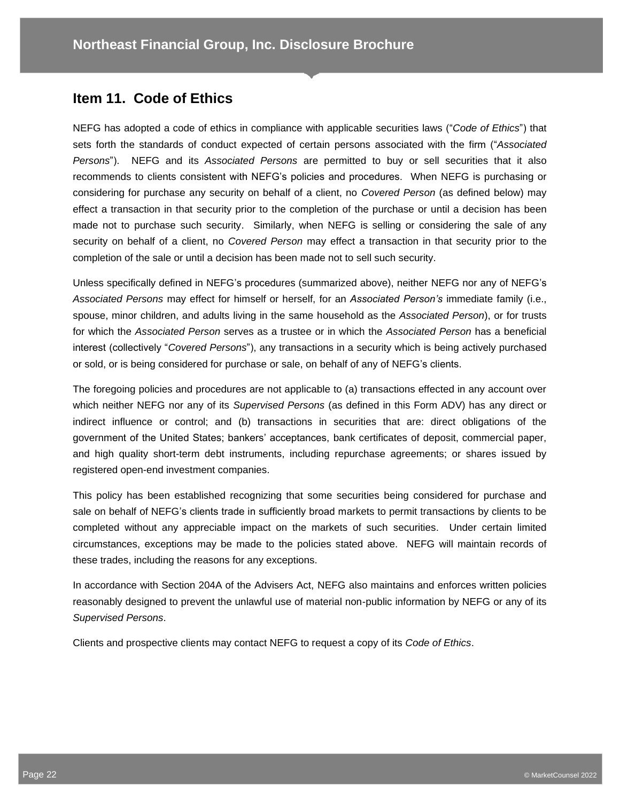## **Item 11. Code of Ethics**

NEFG has adopted a code of ethics in compliance with applicable securities laws ("*Code of Ethics*") that sets forth the standards of conduct expected of certain persons associated with the firm ("*Associated Persons*"). NEFG and its *Associated Persons* are permitted to buy or sell securities that it also recommends to clients consistent with NEFG's policies and procedures. When NEFG is purchasing or considering for purchase any security on behalf of a client, no *Covered Person* (as defined below) may effect a transaction in that security prior to the completion of the purchase or until a decision has been made not to purchase such security. Similarly, when NEFG is selling or considering the sale of any security on behalf of a client, no *Covered Person* may effect a transaction in that security prior to the completion of the sale or until a decision has been made not to sell such security.

Unless specifically defined in NEFG's procedures (summarized above), neither NEFG nor any of NEFG's *Associated Persons* may effect for himself or herself, for an *Associated Person's* immediate family (i.e., spouse, minor children, and adults living in the same household as the *Associated Person*), or for trusts for which the *Associated Person* serves as a trustee or in which the *Associated Person* has a beneficial interest (collectively "*Covered Persons*"), any transactions in a security which is being actively purchased or sold, or is being considered for purchase or sale, on behalf of any of NEFG's clients.

The foregoing policies and procedures are not applicable to (a) transactions effected in any account over which neither NEFG nor any of its *Supervised Persons* (as defined in this Form ADV) has any direct or indirect influence or control; and (b) transactions in securities that are: direct obligations of the government of the United States; bankers' acceptances, bank certificates of deposit, commercial paper, and high quality short-term debt instruments, including repurchase agreements; or shares issued by registered open-end investment companies.

This policy has been established recognizing that some securities being considered for purchase and sale on behalf of NEFG's clients trade in sufficiently broad markets to permit transactions by clients to be completed without any appreciable impact on the markets of such securities. Under certain limited circumstances, exceptions may be made to the policies stated above. NEFG will maintain records of these trades, including the reasons for any exceptions.

In accordance with Section 204A of the Advisers Act, NEFG also maintains and enforces written policies reasonably designed to prevent the unlawful use of material non-public information by NEFG or any of its *Supervised Persons*.

Clients and prospective clients may contact NEFG to request a copy of its *Code of Ethics*.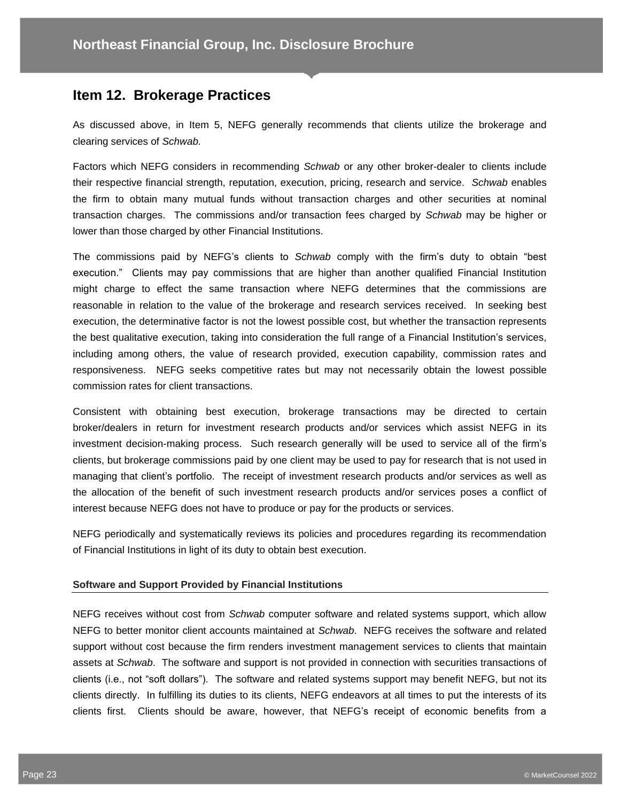### **Item 12. Brokerage Practices**

As discussed above, in Item 5, NEFG generally recommends that clients utilize the brokerage and clearing services of *Schwab.*

Factors which NEFG considers in recommending *Schwab* or any other broker-dealer to clients include their respective financial strength, reputation, execution, pricing, research and service. *Schwab* enables the firm to obtain many mutual funds without transaction charges and other securities at nominal transaction charges. The commissions and/or transaction fees charged by *Schwab* may be higher or lower than those charged by other Financial Institutions.

The commissions paid by NEFG's clients to *Schwab* comply with the firm's duty to obtain "best execution." Clients may pay commissions that are higher than another qualified Financial Institution might charge to effect the same transaction where NEFG determines that the commissions are reasonable in relation to the value of the brokerage and research services received. In seeking best execution, the determinative factor is not the lowest possible cost, but whether the transaction represents the best qualitative execution, taking into consideration the full range of a Financial Institution's services, including among others, the value of research provided, execution capability, commission rates and responsiveness. NEFG seeks competitive rates but may not necessarily obtain the lowest possible commission rates for client transactions.

Consistent with obtaining best execution, brokerage transactions may be directed to certain broker/dealers in return for investment research products and/or services which assist NEFG in its investment decision-making process. Such research generally will be used to service all of the firm's clients, but brokerage commissions paid by one client may be used to pay for research that is not used in managing that client's portfolio. The receipt of investment research products and/or services as well as the allocation of the benefit of such investment research products and/or services poses a conflict of interest because NEFG does not have to produce or pay for the products or services.

NEFG periodically and systematically reviews its policies and procedures regarding its recommendation of Financial Institutions in light of its duty to obtain best execution.

#### **Software and Support Provided by Financial Institutions**

NEFG receives without cost from *Schwab* computer software and related systems support, which allow NEFG to better monitor client accounts maintained at *Schwab*. NEFG receives the software and related support without cost because the firm renders investment management services to clients that maintain assets at *Schwab*. The software and support is not provided in connection with securities transactions of clients (i.e., not "soft dollars"). The software and related systems support may benefit NEFG, but not its clients directly. In fulfilling its duties to its clients, NEFG endeavors at all times to put the interests of its clients first. Clients should be aware, however, that NEFG's receipt of economic benefits from a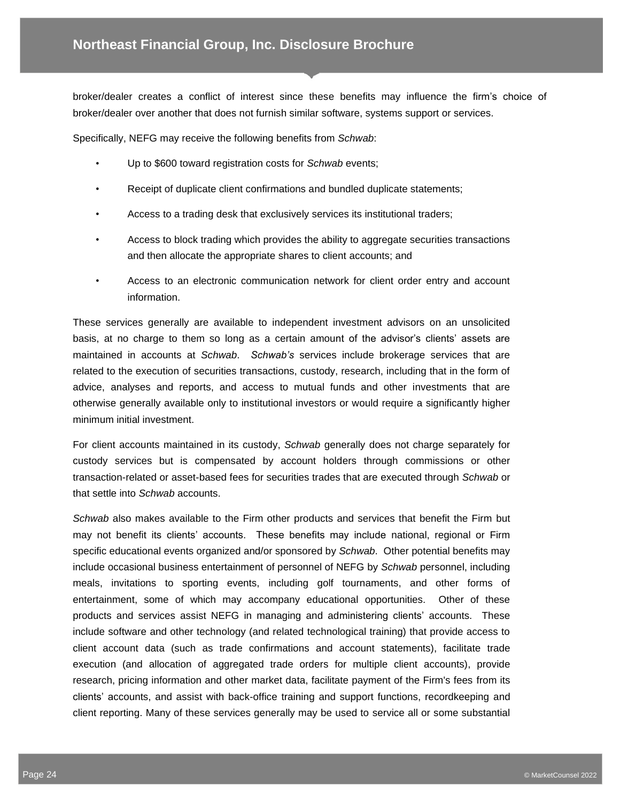broker/dealer creates a conflict of interest since these benefits may influence the firm's choice of broker/dealer over another that does not furnish similar software, systems support or services.

Specifically, NEFG may receive the following benefits from *Schwab*:

- Up to \$600 toward registration costs for *Schwab* events;
- Receipt of duplicate client confirmations and bundled duplicate statements;
- Access to a trading desk that exclusively services its institutional traders;
- Access to block trading which provides the ability to aggregate securities transactions and then allocate the appropriate shares to client accounts; and
- Access to an electronic communication network for client order entry and account information.

These services generally are available to independent investment advisors on an unsolicited basis, at no charge to them so long as a certain amount of the advisor's clients' assets are maintained in accounts at *Schwab*. *Schwab's* services include brokerage services that are related to the execution of securities transactions, custody, research, including that in the form of advice, analyses and reports, and access to mutual funds and other investments that are otherwise generally available only to institutional investors or would require a significantly higher minimum initial investment.

For client accounts maintained in its custody, *Schwab* generally does not charge separately for custody services but is compensated by account holders through commissions or other transaction-related or asset-based fees for securities trades that are executed through *Schwab* or that settle into *Schwab* accounts.

*Schwab* also makes available to the Firm other products and services that benefit the Firm but may not benefit its clients' accounts. These benefits may include national, regional or Firm specific educational events organized and/or sponsored by *Schwab*. Other potential benefits may include occasional business entertainment of personnel of NEFG by *Schwab* personnel, including meals, invitations to sporting events, including golf tournaments, and other forms of entertainment, some of which may accompany educational opportunities. Other of these products and services assist NEFG in managing and administering clients' accounts. These include software and other technology (and related technological training) that provide access to client account data (such as trade confirmations and account statements), facilitate trade execution (and allocation of aggregated trade orders for multiple client accounts), provide research, pricing information and other market data, facilitate payment of the Firm's fees from its clients' accounts, and assist with back-office training and support functions, recordkeeping and client reporting. Many of these services generally may be used to service all or some substantial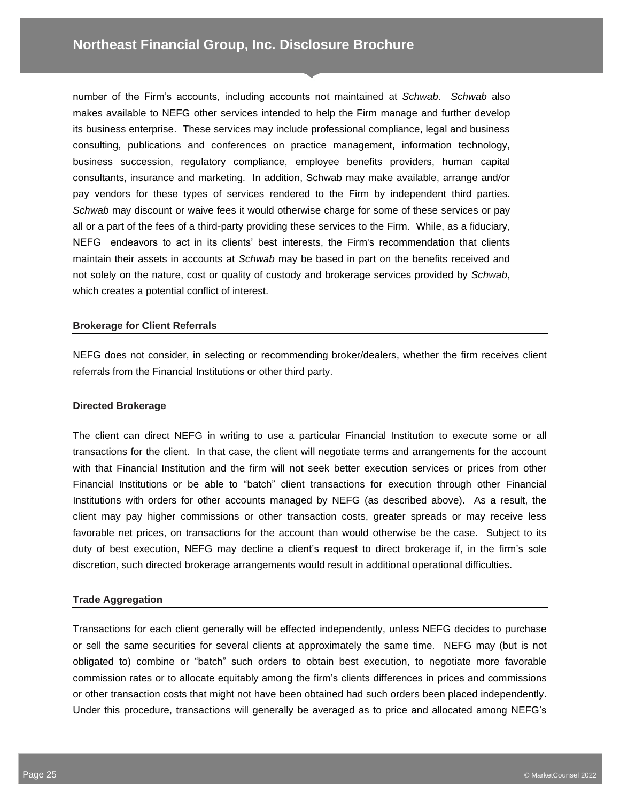number of the Firm's accounts, including accounts not maintained at *Schwab*. *Schwab* also makes available to NEFG other services intended to help the Firm manage and further develop its business enterprise. These services may include professional compliance, legal and business consulting, publications and conferences on practice management, information technology, business succession, regulatory compliance, employee benefits providers, human capital consultants, insurance and marketing. In addition, Schwab may make available, arrange and/or pay vendors for these types of services rendered to the Firm by independent third parties. *Schwab* may discount or waive fees it would otherwise charge for some of these services or pay all or a part of the fees of a third-party providing these services to the Firm. While, as a fiduciary, NEFG endeavors to act in its clients' best interests, the Firm's recommendation that clients maintain their assets in accounts at *Schwab* may be based in part on the benefits received and not solely on the nature, cost or quality of custody and brokerage services provided by *Schwab*, which creates a potential conflict of interest.

#### **Brokerage for Client Referrals**

NEFG does not consider, in selecting or recommending broker/dealers, whether the firm receives client referrals from the Financial Institutions or other third party.

#### **Directed Brokerage**

The client can direct NEFG in writing to use a particular Financial Institution to execute some or all transactions for the client. In that case, the client will negotiate terms and arrangements for the account with that Financial Institution and the firm will not seek better execution services or prices from other Financial Institutions or be able to "batch" client transactions for execution through other Financial Institutions with orders for other accounts managed by NEFG (as described above). As a result, the client may pay higher commissions or other transaction costs, greater spreads or may receive less favorable net prices, on transactions for the account than would otherwise be the case. Subject to its duty of best execution, NEFG may decline a client's request to direct brokerage if, in the firm's sole discretion, such directed brokerage arrangements would result in additional operational difficulties.

#### **Trade Aggregation**

Transactions for each client generally will be effected independently, unless NEFG decides to purchase or sell the same securities for several clients at approximately the same time. NEFG may (but is not obligated to) combine or "batch" such orders to obtain best execution, to negotiate more favorable commission rates or to allocate equitably among the firm's clients differences in prices and commissions or other transaction costs that might not have been obtained had such orders been placed independently. Under this procedure, transactions will generally be averaged as to price and allocated among NEFG's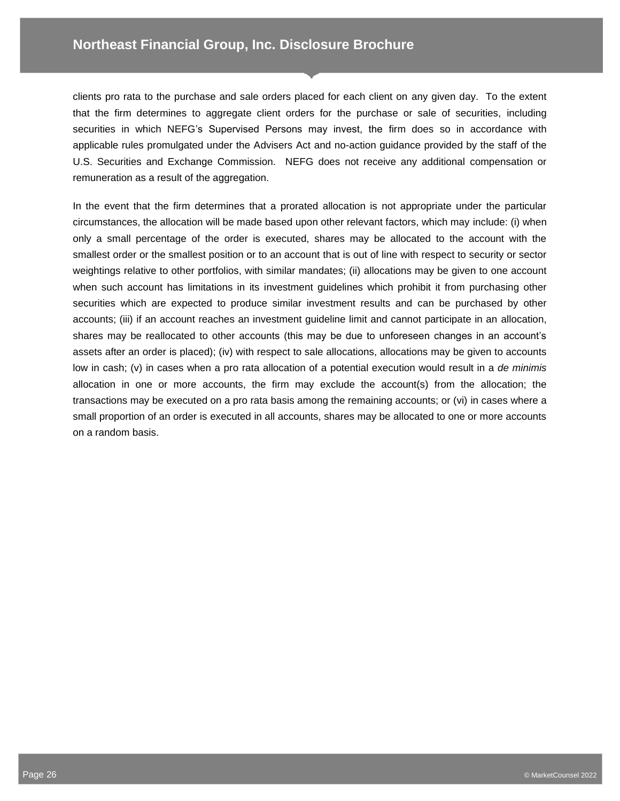clients pro rata to the purchase and sale orders placed for each client on any given day. To the extent that the firm determines to aggregate client orders for the purchase or sale of securities, including securities in which NEFG's Supervised Persons may invest, the firm does so in accordance with applicable rules promulgated under the Advisers Act and no-action guidance provided by the staff of the U.S. Securities and Exchange Commission. NEFG does not receive any additional compensation or remuneration as a result of the aggregation.

In the event that the firm determines that a prorated allocation is not appropriate under the particular circumstances, the allocation will be made based upon other relevant factors, which may include: (i) when only a small percentage of the order is executed, shares may be allocated to the account with the smallest order or the smallest position or to an account that is out of line with respect to security or sector weightings relative to other portfolios, with similar mandates; (ii) allocations may be given to one account when such account has limitations in its investment guidelines which prohibit it from purchasing other securities which are expected to produce similar investment results and can be purchased by other accounts; (iii) if an account reaches an investment guideline limit and cannot participate in an allocation, shares may be reallocated to other accounts (this may be due to unforeseen changes in an account's assets after an order is placed); (iv) with respect to sale allocations, allocations may be given to accounts low in cash; (v) in cases when a pro rata allocation of a potential execution would result in a *de minimis* allocation in one or more accounts, the firm may exclude the account(s) from the allocation; the transactions may be executed on a pro rata basis among the remaining accounts; or (vi) in cases where a small proportion of an order is executed in all accounts, shares may be allocated to one or more accounts on a random basis.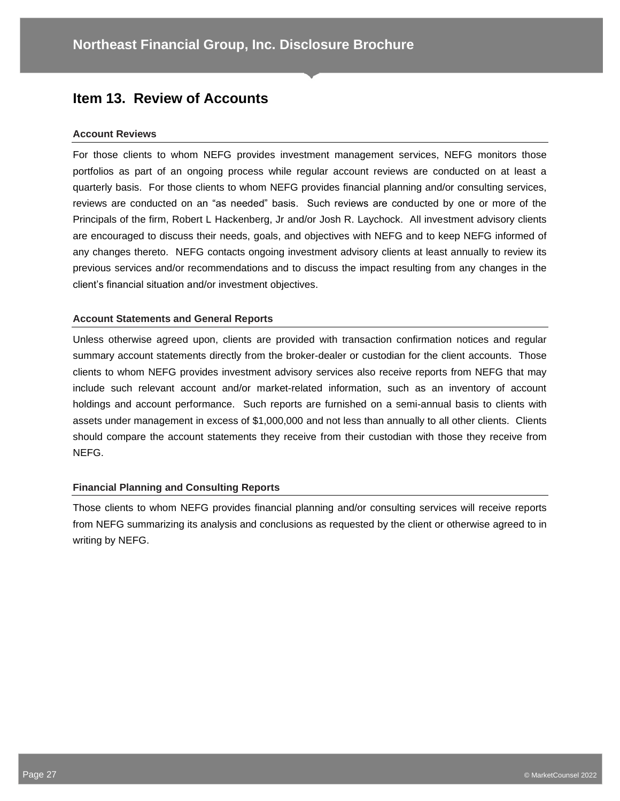## **Item 13. Review of Accounts**

#### **Account Reviews**

For those clients to whom NEFG provides investment management services, NEFG monitors those portfolios as part of an ongoing process while regular account reviews are conducted on at least a quarterly basis. For those clients to whom NEFG provides financial planning and/or consulting services, reviews are conducted on an "as needed" basis. Such reviews are conducted by one or more of the Principals of the firm, Robert L Hackenberg, Jr and/or Josh R. Laychock. All investment advisory clients are encouraged to discuss their needs, goals, and objectives with NEFG and to keep NEFG informed of any changes thereto. NEFG contacts ongoing investment advisory clients at least annually to review its previous services and/or recommendations and to discuss the impact resulting from any changes in the client's financial situation and/or investment objectives.

#### **Account Statements and General Reports**

Unless otherwise agreed upon, clients are provided with transaction confirmation notices and regular summary account statements directly from the broker-dealer or custodian for the client accounts. Those clients to whom NEFG provides investment advisory services also receive reports from NEFG that may include such relevant account and/or market-related information, such as an inventory of account holdings and account performance. Such reports are furnished on a semi-annual basis to clients with assets under management in excess of \$1,000,000 and not less than annually to all other clients. Clients should compare the account statements they receive from their custodian with those they receive from NEFG.

#### **Financial Planning and Consulting Reports**

Those clients to whom NEFG provides financial planning and/or consulting services will receive reports from NEFG summarizing its analysis and conclusions as requested by the client or otherwise agreed to in writing by NEFG.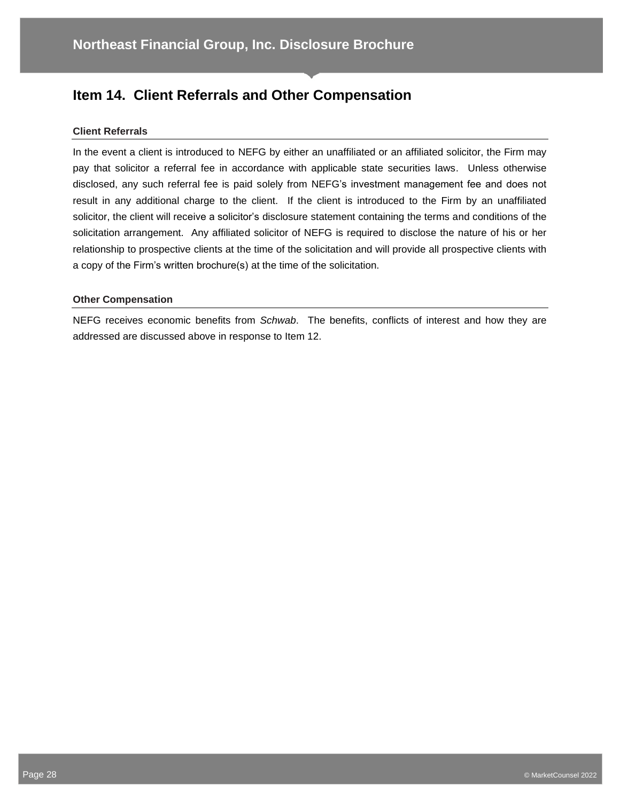## **Item 14. Client Referrals and Other Compensation**

#### **Client Referrals**

In the event a client is introduced to NEFG by either an unaffiliated or an affiliated solicitor, the Firm may pay that solicitor a referral fee in accordance with applicable state securities laws. Unless otherwise disclosed, any such referral fee is paid solely from NEFG's investment management fee and does not result in any additional charge to the client. If the client is introduced to the Firm by an unaffiliated solicitor, the client will receive a solicitor's disclosure statement containing the terms and conditions of the solicitation arrangement. Any affiliated solicitor of NEFG is required to disclose the nature of his or her relationship to prospective clients at the time of the solicitation and will provide all prospective clients with a copy of the Firm's written brochure(s) at the time of the solicitation.

#### **Other Compensation**

NEFG receives economic benefits from *Schwab*. The benefits, conflicts of interest and how they are addressed are discussed above in response to Item 12.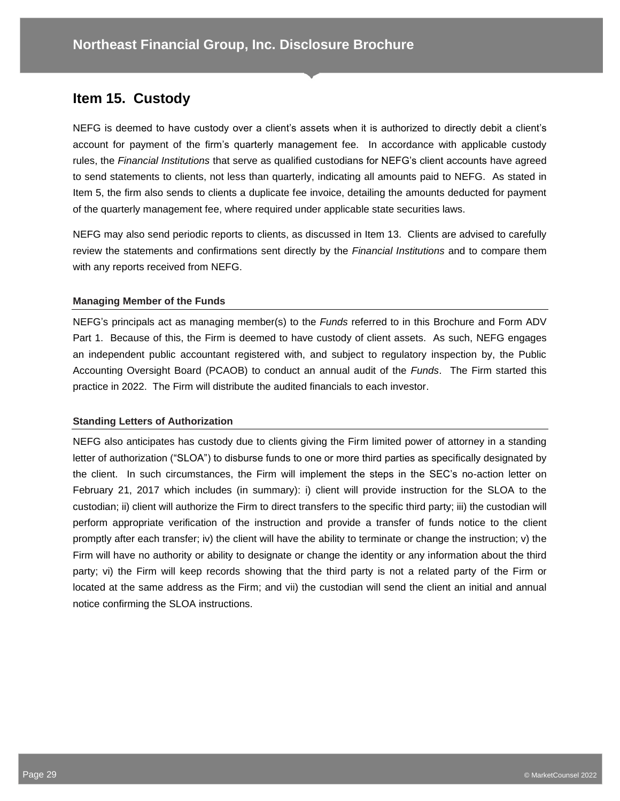## **Item 15. Custody**

NEFG is deemed to have custody over a client's assets when it is authorized to directly debit a client's account for payment of the firm's quarterly management fee. In accordance with applicable custody rules, the *Financial Institutions* that serve as qualified custodians for NEFG's client accounts have agreed to send statements to clients, not less than quarterly, indicating all amounts paid to NEFG. As stated in Item 5, the firm also sends to clients a duplicate fee invoice, detailing the amounts deducted for payment of the quarterly management fee, where required under applicable state securities laws.

NEFG may also send periodic reports to clients, as discussed in Item 13. Clients are advised to carefully review the statements and confirmations sent directly by the *Financial Institutions* and to compare them with any reports received from NEFG.

#### **Managing Member of the Funds**

NEFG's principals act as managing member(s) to the *Funds* referred to in this Brochure and Form ADV Part 1. Because of this, the Firm is deemed to have custody of client assets. As such, NEFG engages an independent public accountant registered with, and subject to regulatory inspection by, the Public Accounting Oversight Board (PCAOB) to conduct an annual audit of the *Funds*. The Firm started this practice in 2022. The Firm will distribute the audited financials to each investor.

#### **Standing Letters of Authorization**

NEFG also anticipates has custody due to clients giving the Firm limited power of attorney in a standing letter of authorization ("SLOA") to disburse funds to one or more third parties as specifically designated by the client. In such circumstances, the Firm will implement the steps in the SEC's no-action letter on February 21, 2017 which includes (in summary): i) client will provide instruction for the SLOA to the custodian; ii) client will authorize the Firm to direct transfers to the specific third party; iii) the custodian will perform appropriate verification of the instruction and provide a transfer of funds notice to the client promptly after each transfer; iv) the client will have the ability to terminate or change the instruction; v) the Firm will have no authority or ability to designate or change the identity or any information about the third party; vi) the Firm will keep records showing that the third party is not a related party of the Firm or located at the same address as the Firm; and vii) the custodian will send the client an initial and annual notice confirming the SLOA instructions.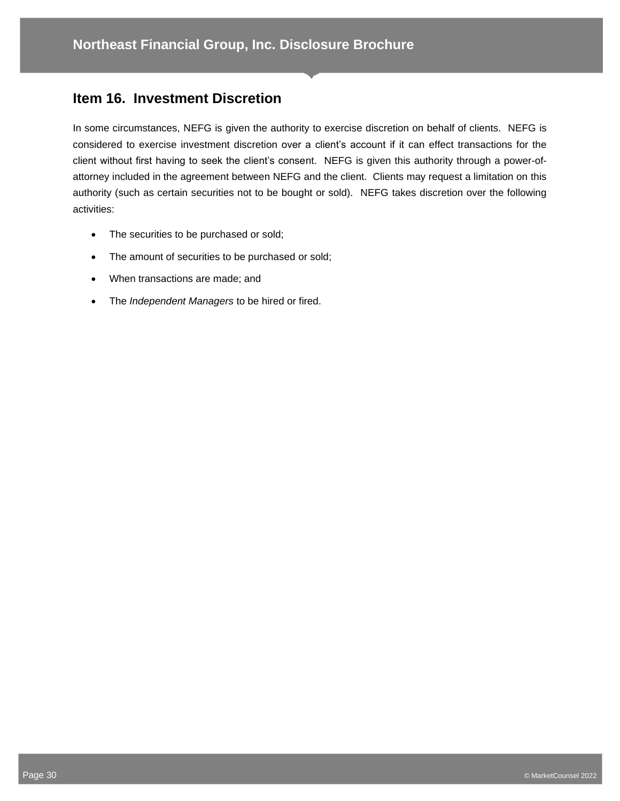## **Item 16. Investment Discretion**

In some circumstances, NEFG is given the authority to exercise discretion on behalf of clients. NEFG is considered to exercise investment discretion over a client's account if it can effect transactions for the client without first having to seek the client's consent. NEFG is given this authority through a power-ofattorney included in the agreement between NEFG and the client. Clients may request a limitation on this authority (such as certain securities not to be bought or sold). NEFG takes discretion over the following activities:

- The securities to be purchased or sold;
- The amount of securities to be purchased or sold;
- When transactions are made; and
- The *Independent Managers* to be hired or fired.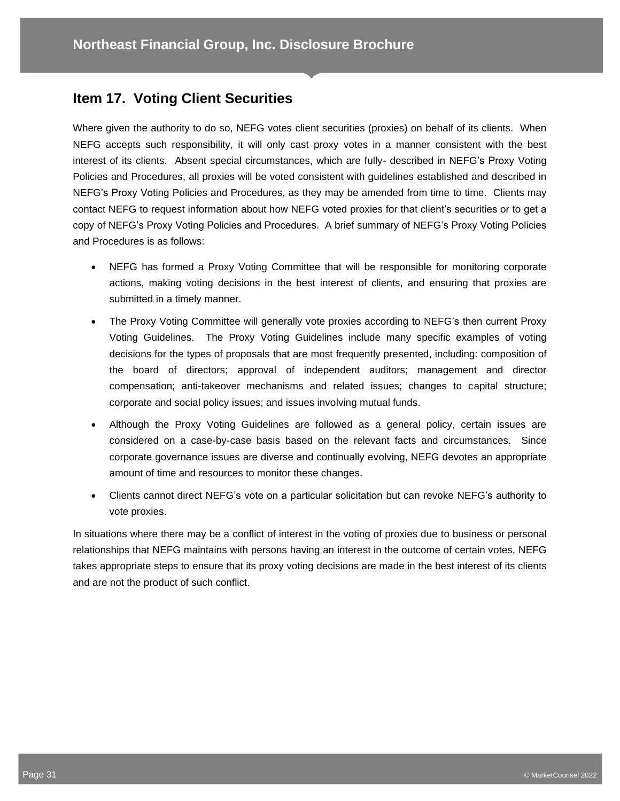## **Item 17. Voting Client Securities**

Where given the authority to do so, NEFG votes client securities (proxies) on behalf of its clients. When NEFG accepts such responsibility, it will only cast proxy votes in a manner consistent with the best interest of its clients. Absent special circumstances, which are fully- described in NEFG's Proxy Voting Policies and Procedures, all proxies will be voted consistent with guidelines established and described in NEFG's Proxy Voting Policies and Procedures, as they may be amended from time to time. Clients may contact NEFG to request information about how NEFG voted proxies for that client's securities or to get a copy of NEFG's Proxy Voting Policies and Procedures. A brief summary of NEFG's Proxy Voting Policies and Procedures is as follows:

- NEFG has formed a Proxy Voting Committee that will be responsible for monitoring corporate actions, making voting decisions in the best interest of clients, and ensuring that proxies are submitted in a timely manner.
- The Proxy Voting Committee will generally vote proxies according to NEFG's then current Proxy Voting Guidelines. The Proxy Voting Guidelines include many specific examples of voting decisions for the types of proposals that are most frequently presented, including: composition of the board of directors; approval of independent auditors; management and director compensation; anti-takeover mechanisms and related issues; changes to capital structure; corporate and social policy issues; and issues involving mutual funds.
- Although the Proxy Voting Guidelines are followed as a general policy, certain issues are considered on a case-by-case basis based on the relevant facts and circumstances. Since corporate governance issues are diverse and continually evolving, NEFG devotes an appropriate amount of time and resources to monitor these changes.
- Clients cannot direct NEFG's vote on a particular solicitation but can revoke NEFG's authority to vote proxies.

In situations where there may be a conflict of interest in the voting of proxies due to business or personal relationships that NEFG maintains with persons having an interest in the outcome of certain votes, NEFG takes appropriate steps to ensure that its proxy voting decisions are made in the best interest of its clients and are not the product of such conflict.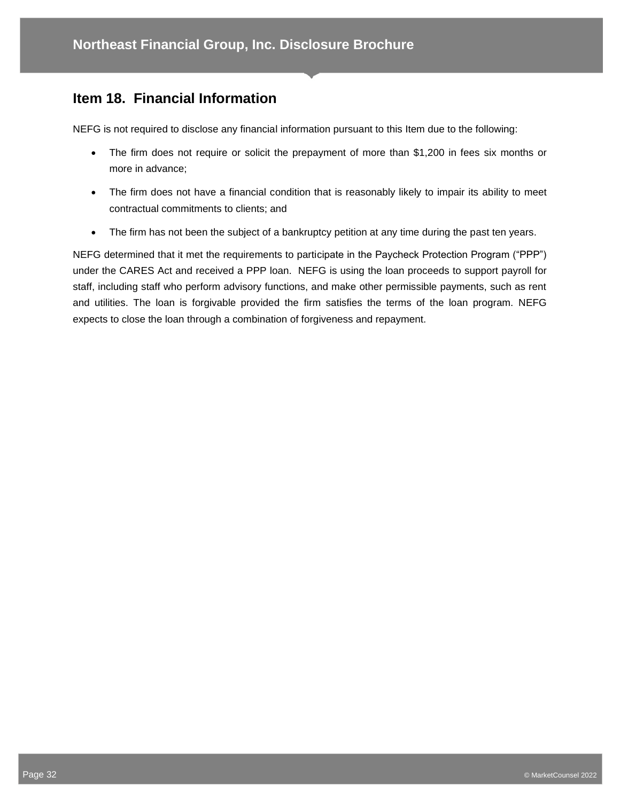## **Item 18. Financial Information**

NEFG is not required to disclose any financial information pursuant to this Item due to the following:

- The firm does not require or solicit the prepayment of more than \$1,200 in fees six months or more in advance;
- The firm does not have a financial condition that is reasonably likely to impair its ability to meet contractual commitments to clients; and
- The firm has not been the subject of a bankruptcy petition at any time during the past ten years.

NEFG determined that it met the requirements to participate in the Paycheck Protection Program ("PPP") under the CARES Act and received a PPP loan. NEFG is using the loan proceeds to support payroll for staff, including staff who perform advisory functions, and make other permissible payments, such as rent and utilities. The loan is forgivable provided the firm satisfies the terms of the loan program. NEFG expects to close the loan through a combination of forgiveness and repayment.